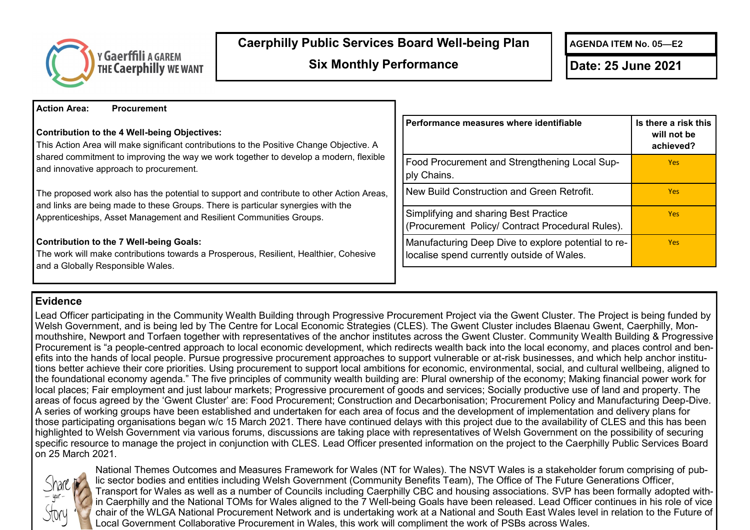

## **Caerphilly Public Services Board Well-being Plan**

**Six Monthly Performance Date: 25 June 2021** 

**AGENDA ITEM No. 05—E2**

**Action Area: Procurement Contribution to the 4 Well-being Objectives:** This Action Area will make significant contributions to the Positive Change Objective. A shared commitment to improving the way we work together to develop a modern, flexible and innovative approach to procurement. The proposed work also has the potential to support and contribute to other Action Areas, and links are being made to these Groups. There is particular synergies with the Apprenticeships, Asset Management and Resilient Communities Groups. **Contribution to the 7 Well-being Goals:** The work will make contributions towards a Prosperous, Resilient, Healthier, Cohesive and a Globally Responsible Wales. **Performance measures where identifiable Is there a risk this will not be achieved?** Food Procurement and Strengthening Local Supply Chains. Yes New Build Construction and Green Retrofit. **The Construction and Green Retrofit.** Simplifying and sharing Best Practice (Procurement Policy/ Contract Procedural Rules). Yes Manufacturing Deep Dive to explore potential to relocalise spend currently outside of Wales. Yes

## **Evidence**

Lead Officer participating in the Community Wealth Building through Progressive Procurement Project via the Gwent Cluster. The Project is being funded by Welsh Government, and is being led by The Centre for Local Economic Strategies (CLES). The Gwent Cluster includes Blaenau Gwent, Caerphilly, Monmouthshire, Newport and Torfaen together with representatives of the anchor institutes across the Gwent Cluster. Community Wealth Building & Progressive Procurement is "a people-centred approach to local economic development, which redirects wealth back into the local economy, and places control and benefits into the hands of local people. Pursue progressive procurement approaches to support vulnerable or at-risk businesses, and which help anchor institutions better achieve their core priorities. Using procurement to support local ambitions for economic, environmental, social, and cultural wellbeing, aligned to the foundational economy agenda." The five principles of community wealth building are: Plural ownership of the economy; Making financial power work for local places; Fair employment and just labour markets; Progressive procurement of goods and services; Socially productive use of land and property. The areas of focus agreed by the 'Gwent Cluster' are: Food Procurement; Construction and Decarbonisation; Procurement Policy and Manufacturing Deep-Dive. A series of working groups have been established and undertaken for each area of focus and the development of implementation and delivery plans for those participating organisations began w/c 15 March 2021. There have continued delays with this project due to the availability of CLES and this has been highlighted to Welsh Government via various forums, discussions are taking place with representatives of Welsh Government on the possibility of securing specific resource to manage the project in conjunction with CLES. Lead Officer presented information on the project to the Caerphilly Public Services Board on 25 March 2021.



National Themes Outcomes and Measures Framework for Wales (NT for Wales). The NSVT Wales is a stakeholder forum comprising of public sector bodies and entities including Welsh Government (Community Benefits Team), The Office of The Future Generations Officer, Transport for Wales as well as a number of Councils including Caerphilly CBC and housing associations. SVP has been formally adopted within Caerphilly and the National TOMs for Wales aligned to the 7 Well-being Goals have been released. Lead Officer continues in his role of vice chair of the WLGA National Procurement Network and is undertaking work at a National and South East Wales level in relation to the Future of Local Government Collaborative Procurement in Wales, this work will compliment the work of PSBs across Wales.